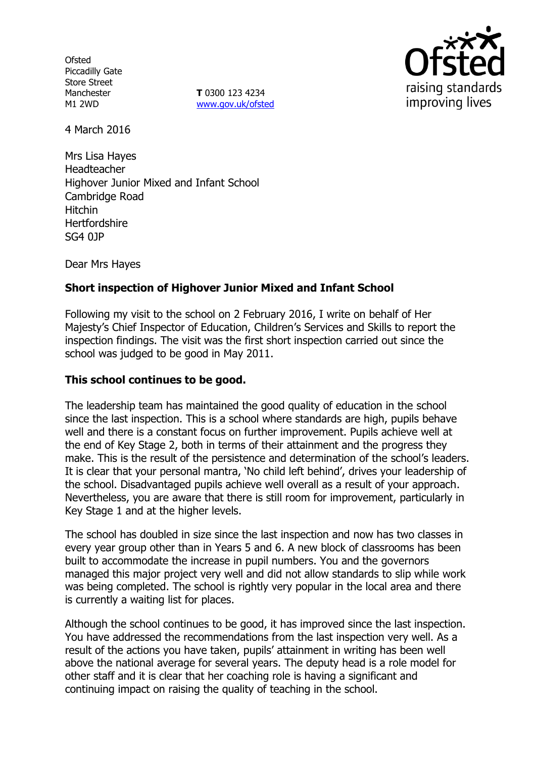**Ofsted** Piccadilly Gate Store Street **Manchester** M1 2WD

**T** 0300 123 4234 www.gov.uk/ofsted



4 March 2016

Mrs Lisa Hayes Headteacher Highover Junior Mixed and Infant School Cambridge Road Hitchin **Hertfordshire** SG4 0JP

Dear Mrs Hayes

# **Short inspection of Highover Junior Mixed and Infant School**

Following my visit to the school on 2 February 2016, I write on behalf of Her Majesty's Chief Inspector of Education, Children's Services and Skills to report the inspection findings. The visit was the first short inspection carried out since the school was judged to be good in May 2011.

## **This school continues to be good.**

The leadership team has maintained the good quality of education in the school since the last inspection. This is a school where standards are high, pupils behave well and there is a constant focus on further improvement. Pupils achieve well at the end of Key Stage 2, both in terms of their attainment and the progress they make. This is the result of the persistence and determination of the school's leaders. It is clear that your personal mantra, 'No child left behind', drives your leadership of the school. Disadvantaged pupils achieve well overall as a result of your approach. Nevertheless, you are aware that there is still room for improvement, particularly in Key Stage 1 and at the higher levels.

The school has doubled in size since the last inspection and now has two classes in every year group other than in Years 5 and 6. A new block of classrooms has been built to accommodate the increase in pupil numbers. You and the governors managed this major project very well and did not allow standards to slip while work was being completed. The school is rightly very popular in the local area and there is currently a waiting list for places.

Although the school continues to be good, it has improved since the last inspection. You have addressed the recommendations from the last inspection very well. As a result of the actions you have taken, pupils' attainment in writing has been well above the national average for several years. The deputy head is a role model for other staff and it is clear that her coaching role is having a significant and continuing impact on raising the quality of teaching in the school.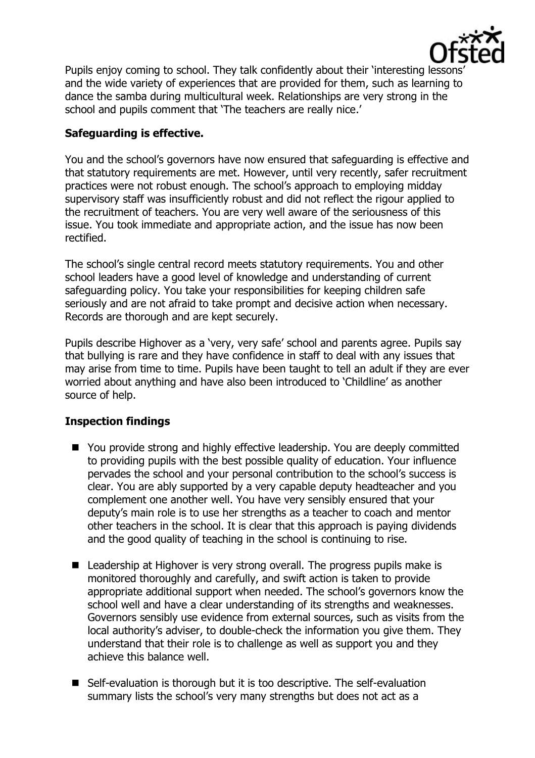

Pupils enjoy coming to school. They talk confidently about their 'interesting lessons' and the wide variety of experiences that are provided for them, such as learning to dance the samba during multicultural week. Relationships are very strong in the school and pupils comment that 'The teachers are really nice.'

### **Safeguarding is effective.**

You and the school's governors have now ensured that safeguarding is effective and that statutory requirements are met. However, until very recently, safer recruitment practices were not robust enough. The school's approach to employing midday supervisory staff was insufficiently robust and did not reflect the rigour applied to the recruitment of teachers. You are very well aware of the seriousness of this issue. You took immediate and appropriate action, and the issue has now been rectified.

The school's single central record meets statutory requirements. You and other school leaders have a good level of knowledge and understanding of current safeguarding policy. You take your responsibilities for keeping children safe seriously and are not afraid to take prompt and decisive action when necessary. Records are thorough and are kept securely.

Pupils describe Highover as a 'very, very safe' school and parents agree. Pupils say that bullying is rare and they have confidence in staff to deal with any issues that may arise from time to time. Pupils have been taught to tell an adult if they are ever worried about anything and have also been introduced to 'Childline' as another source of help.

#### **Inspection findings**

- You provide strong and highly effective leadership. You are deeply committed to providing pupils with the best possible quality of education. Your influence pervades the school and your personal contribution to the school's success is clear. You are ably supported by a very capable deputy headteacher and you complement one another well. You have very sensibly ensured that your deputy's main role is to use her strengths as a teacher to coach and mentor other teachers in the school. It is clear that this approach is paying dividends and the good quality of teaching in the school is continuing to rise.
- Leadership at Highover is very strong overall. The progress pupils make is monitored thoroughly and carefully, and swift action is taken to provide appropriate additional support when needed. The school's governors know the school well and have a clear understanding of its strengths and weaknesses. Governors sensibly use evidence from external sources, such as visits from the local authority's adviser, to double-check the information you give them. They understand that their role is to challenge as well as support you and they achieve this balance well.
- Self-evaluation is thorough but it is too descriptive. The self-evaluation summary lists the school's very many strengths but does not act as a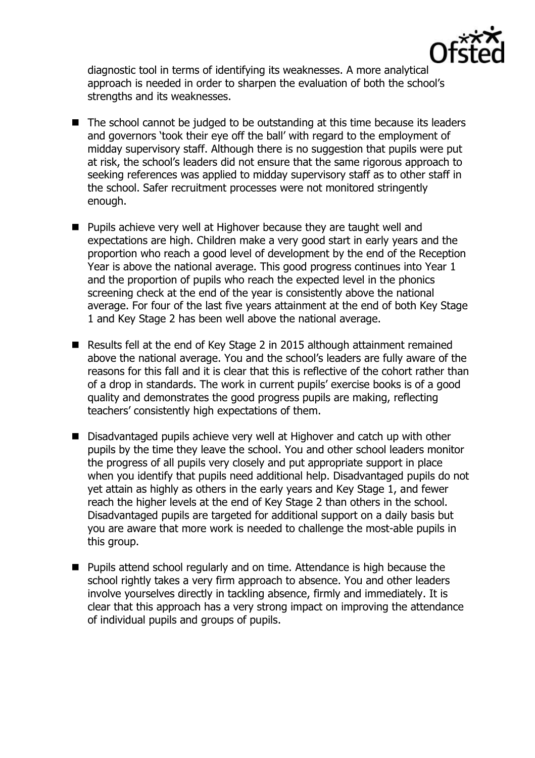

diagnostic tool in terms of identifying its weaknesses. A more analytical approach is needed in order to sharpen the evaluation of both the school's strengths and its weaknesses.

- The school cannot be judged to be outstanding at this time because its leaders and governors 'took their eye off the ball' with regard to the employment of midday supervisory staff. Although there is no suggestion that pupils were put at risk, the school's leaders did not ensure that the same rigorous approach to seeking references was applied to midday supervisory staff as to other staff in the school. Safer recruitment processes were not monitored stringently enough.
- **Pupils achieve very well at Highover because they are taught well and** expectations are high. Children make a very good start in early years and the proportion who reach a good level of development by the end of the Reception Year is above the national average. This good progress continues into Year 1 and the proportion of pupils who reach the expected level in the phonics screening check at the end of the year is consistently above the national average. For four of the last five years attainment at the end of both Key Stage 1 and Key Stage 2 has been well above the national average.
- Results fell at the end of Key Stage 2 in 2015 although attainment remained above the national average. You and the school's leaders are fully aware of the reasons for this fall and it is clear that this is reflective of the cohort rather than of a drop in standards. The work in current pupils' exercise books is of a good quality and demonstrates the good progress pupils are making, reflecting teachers' consistently high expectations of them.
- Disadvantaged pupils achieve very well at Highover and catch up with other pupils by the time they leave the school. You and other school leaders monitor the progress of all pupils very closely and put appropriate support in place when you identify that pupils need additional help. Disadvantaged pupils do not yet attain as highly as others in the early years and Key Stage 1, and fewer reach the higher levels at the end of Key Stage 2 than others in the school. Disadvantaged pupils are targeted for additional support on a daily basis but you are aware that more work is needed to challenge the most-able pupils in this group.
- Pupils attend school regularly and on time. Attendance is high because the school rightly takes a very firm approach to absence. You and other leaders involve yourselves directly in tackling absence, firmly and immediately. It is clear that this approach has a very strong impact on improving the attendance of individual pupils and groups of pupils.